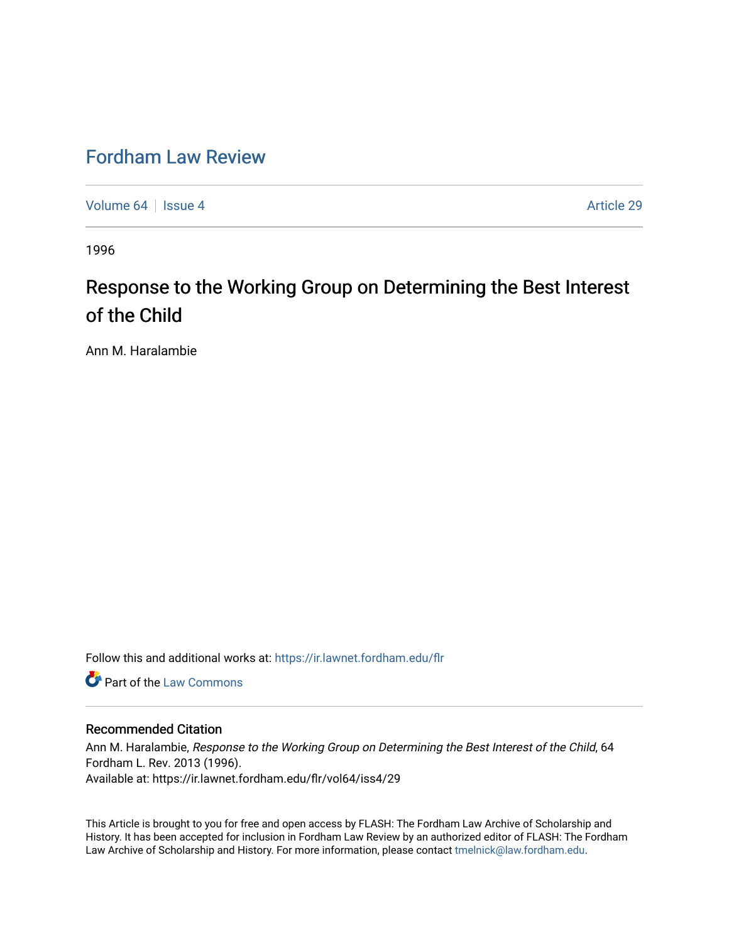## [Fordham Law Review](https://ir.lawnet.fordham.edu/flr)

[Volume 64](https://ir.lawnet.fordham.edu/flr/vol64) | [Issue 4](https://ir.lawnet.fordham.edu/flr/vol64/iss4) Article 29

1996

# Response to the Working Group on Determining the Best Interest of the Child

Ann M. Haralambie

Follow this and additional works at: [https://ir.lawnet.fordham.edu/flr](https://ir.lawnet.fordham.edu/flr?utm_source=ir.lawnet.fordham.edu%2Fflr%2Fvol64%2Fiss4%2F29&utm_medium=PDF&utm_campaign=PDFCoverPages)

Part of the [Law Commons](http://network.bepress.com/hgg/discipline/578?utm_source=ir.lawnet.fordham.edu%2Fflr%2Fvol64%2Fiss4%2F29&utm_medium=PDF&utm_campaign=PDFCoverPages)

#### Recommended Citation

Ann M. Haralambie, Response to the Working Group on Determining the Best Interest of the Child, 64 Fordham L. Rev. 2013 (1996). Available at: https://ir.lawnet.fordham.edu/flr/vol64/iss4/29

This Article is brought to you for free and open access by FLASH: The Fordham Law Archive of Scholarship and History. It has been accepted for inclusion in Fordham Law Review by an authorized editor of FLASH: The Fordham Law Archive of Scholarship and History. For more information, please contact [tmelnick@law.fordham.edu](mailto:tmelnick@law.fordham.edu).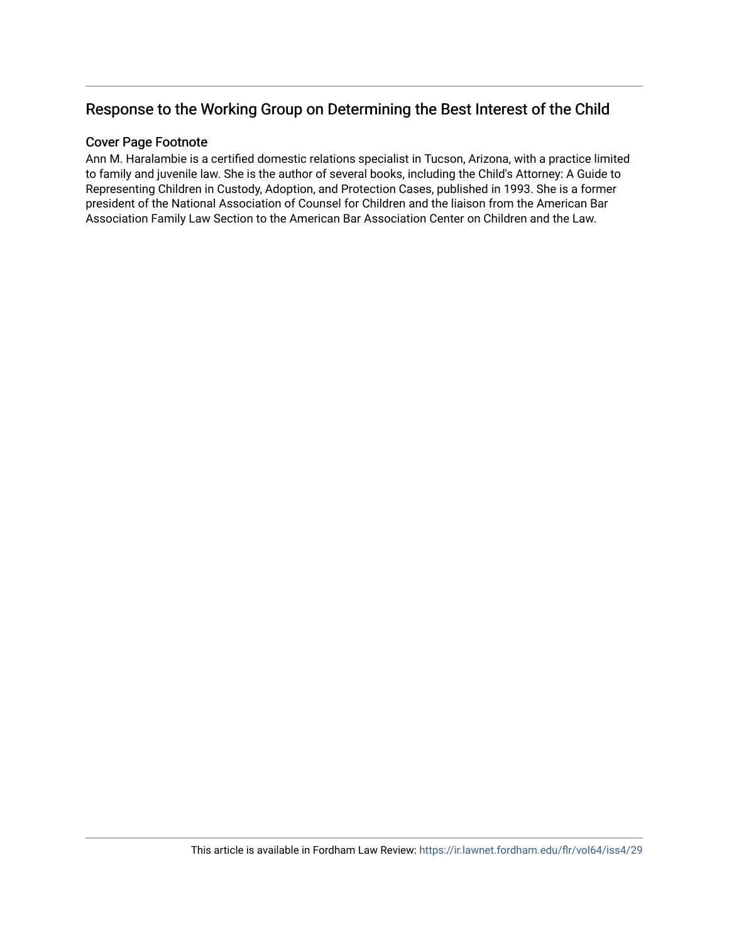### Response to the Working Group on Determining the Best Interest of the Child

### Cover Page Footnote

Ann M. Haralambie is a certified domestic relations specialist in Tucson, Arizona, with a practice limited to family and juvenile law. She is the author of several books, including the Child's Attorney: A Guide to Representing Children in Custody, Adoption, and Protection Cases, published in 1993. She is a former president of the National Association of Counsel for Children and the liaison from the American Bar Association Family Law Section to the American Bar Association Center on Children and the Law.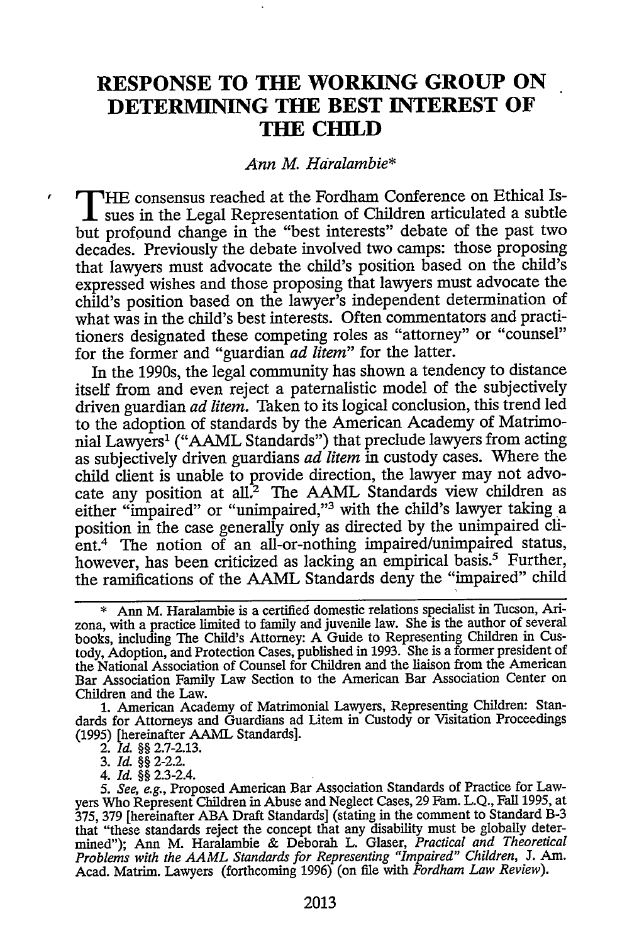### **RESPONSE TO THE WORKING GROUP ON DETERMINING THE BEST INTEREST OF TIE CHILD**

#### *Ann* M. *Hdralambie\**

**T HE** consensus reached at the Fordham Conference on Ethical Issues in the Legal Representation of Children articulated a subtle but profound change in the "best interests" debate of the past two decades. Previously the debate involved two camps: those proposing that lawyers must advocate the child's position based on the child's expressed wishes and those proposing that lawyers must advocate the child's position based on the lawyer's independent determination of what was in the child's best interests. Often commentators and practitioners designated these competing roles as "attorney" or "counsel" for the former and "guardian *ad litem"* for the latter.

In the 1990s, the legal community has shown a tendency to distance itself from and even reject a paternalistic model of the subjectively driven guardian *ad litem.* Taken to its logical conclusion, this trend led to the adoption of standards by the American Academy of Matrimonial Lawyers' ("AAML Standards") that preclude lawyers from acting as subjectively driven guardians *ad litem* in custody cases. Where the child client is unable to provide direction, the lawyer may not advocate any position at all.<sup>2</sup> The AAML Standards view children as either "impaired" or "unimpaired,"3 with the child's lawyer taking a position in the case generally only as directed by the unimpaired client.4 The notion of an all-or-nothing impaired/unimpaired status, however, has been criticized as lacking an empirical basis.<sup>5</sup> Further, the ramifications of the AAML Standards deny the "impaired" child

*4. Id. §§* 2.3-2.4.

Ann M. Haralambie is a certified domestic relations specialist in Tucson, Arizona, with a practice limited to family and juvenile law. She is the author of several books, including The Child's Attorney: A Guide to Representing Children in Custody, Adoption, and Protection Cases, published in 1993. She is a former president of the National Association of Counsel for Children and the liaison from the American Bar Association Family Law Section to the American Bar Association Center on Children and the Law.

<sup>1.</sup> American Academy of Matrimonial Lawyers, Representing Children: Standards for Attorneys and Guardians ad Litem in Custody or Visitation Proceedings (1995) [hereinafter AAML Standards]. 2. **Id.** §§ 2.7-2.13.

<sup>3.</sup> ld. §§ 2-2.2.

*<sup>5.</sup> See, e.g.,* Proposed American Bar Association Standards of Practice for Lawyers Who Represent Children in Abuse and Neglect Cases, 29 Fain. L.Q., Fall 1995, at 375, 379 [hereinafter ABA Draft Standards] (stating in the comment to Standard B-3 that "these standards reject the concept that any disability must be globally determined"); Ann M. Haralambie & Deborah L. Glaser, *Practical and Theoretical Problems with the AAML Standards for Representing "Impaired" Children,* J. Am. Acad. Matrim. Lawyers (forthcoming 1996) (on file with *Fordham Law Review).*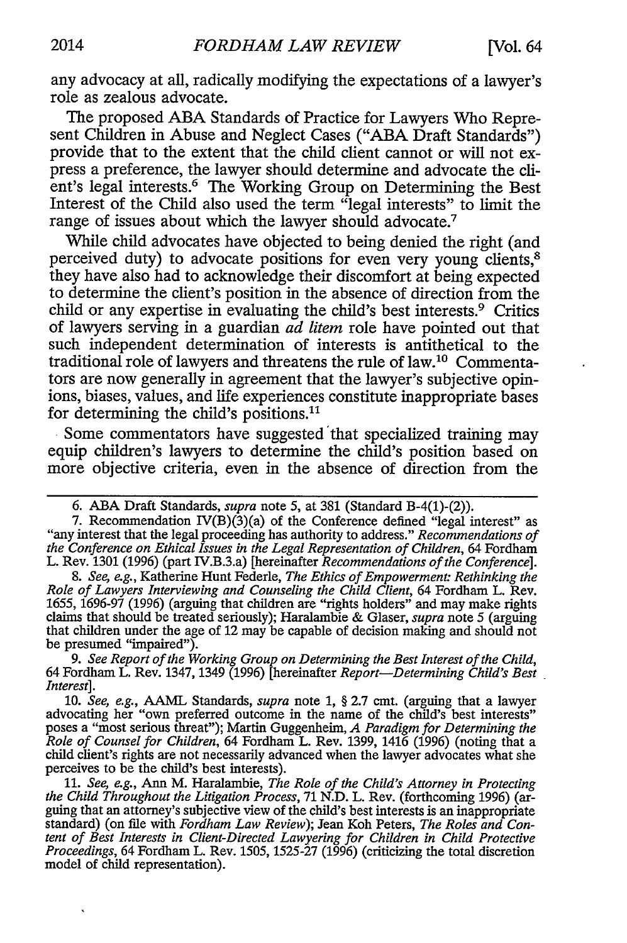any advocacy at all, radically modifying the expectations of a lawyer's role as zealous advocate.

The proposed **ABA** Standards of Practice for Lawyers Who Represent Children in Abuse and Neglect Cases ("ABA Draft Standards") provide that to the extent that the child client cannot or will not express a preference, the lawyer should determine and advocate the **cli**ent's legal interests.<sup>6</sup> The Working Group on Determining the Best Interest of the Child also used the term "legal interests" to limit the range of issues about which the lawyer should advocate.7

While child advocates have objected to being denied the right (and perceived duty) to advocate positions for even very young clients,<sup>8</sup> they have also had to acknowledge their discomfort at being expected to determine the client's position in the absence of direction from the child or any expertise in evaluating the child's best interests.9 Critics of lawyers serving in a guardian *ad litem* role have pointed out that such independent determination of interests is antithetical to the traditional role of lawyers and threatens the rule of law.10 Commentators are now generally in agreement that the lawyer's subjective opinions, biases, values, and life experiences constitute inappropriate bases for determining the child's positions.<sup>11</sup>

Some commentators have suggested 'that specialized training may equip children's lawyers to determine the child's position based on more objective criteria, even in the absence of direction from the

*9. See Report of the Working Group on Determining the Best Interest of the Child,* 64 Fordham L. Rev. 1347, 1349 (1996) [hereinafter *Report-Determining Child's Best Interest].*

10. *See, e.g., AAML* Standards, *supra* note 1, § 2.7 cmt. (arguing that a lawyer advocating her "own preferred outcome in the name of the child's best interests" poses a "most serious threat"); Martin Guggenheim, *A Paradigm for Determining the Role of Counsel for Children,* 64 Fordham L. Rev. 1399, 1416 (1996) (noting that a child client's rights are not necessarily advanced when the lawyer advocates what she perceives to be the child's best interests).

11. *See, e.g.,* Ann M. Haralambie, *The Role of the Child's Attorney in Protecting* the Child Throughout the Litigation Process, 71 N.D. L. Rev. (forthcoming 1996) (arguing that an attorney's subjective view of the child's best interests is an inappropriate standard) (on file with *Fordham Law Review*); J *tent of Best Interests in Client-Directed Lawyering for Children in Child Protective Proceedings,* 64 Fordham L. Rev. 1505, 1525-27 (1996) (criticizing the total discretion model of child representation).

<sup>6.</sup> ABA Draft Standards, *supra* note 5, at 381 (Standard B-4(1)-(2)).

<sup>7.</sup> Recommendation IV(B)(3)(a) of the Conference defined "legal interest" as "any interest that the legal proceeding has authority to address." *Recommendations of the Conference on Ethical Issues in the Legal Representation of Children,* 64 Fordham L. Rev. 1301 (1996) (part IV.B.3.a) [hereinafter *Recommendations of the Conference].*

*<sup>8.</sup> See, e.g.,* Katherine Hunt Federle, *The Ethics of Empowerment" Rethinking the Role of Lawyers Interviewing and Counseling the Child Client,* 64 Fordham L. Rev. 1655, 1696-97 (1996) (arguing that children are "rights holders" and may make rights<br>claims that should be treated seriously); Haralambie & Glaser, *supra* note 5 (arguing<br>that children under the age of 12 may be capable o that children under the age of 12 may be capable of decision making and should not be presumed "impaired").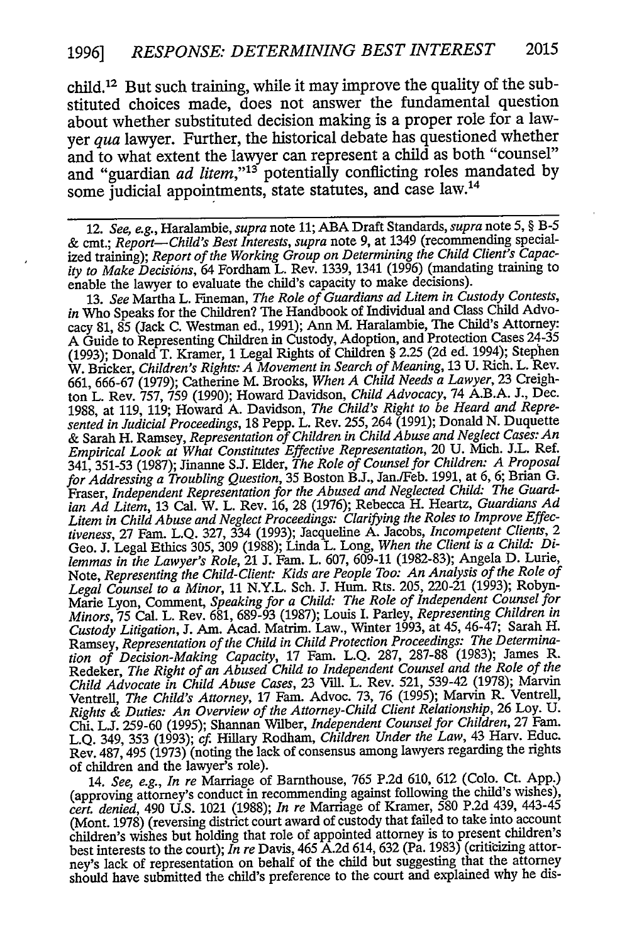child. 12 But such training, while it may improve the quality of the substituted choices made, does not answer the fundamental question about whether substituted decision making is a proper role for a lawyer *qua* lawyer. Further, the historical debate has questioned whether and to what extent the lawyer can represent a child as both "counsel" and "guardian *ad litem,"'13* potentially conflicting roles mandated by some judicial appointments, state statutes, and case law.<sup>14</sup>

12. *See, e.g.,* Haralambie, *supra* note 11; ABA Draft Standards, *supra* note 5, § B-5 & cmt.; *Report-Child's Best Interests, supra* note 9, at 1349 (recommending specialized training); *Report of the Working Group on Determining the Child Client's Capacity to Make Decisions,* 64 Fordham L. Rev. 1339, 1341 (1996) (mandating training to enable the lawyer to evaluate the child's capacity to make decisions).

13. *See* Martha L. Fineman, *The Role of Guardians ad Litem in Custody Contests, in* Who Speaks for the Children? The Handbook of Individual and Class Child Advocacy 81, 85 (Jack C. Westman ed., 1991); Ann M. Haralambie, The Child's Attorney: A Guide to Representing Children in Custody, Adoption, and Protection Cases 24-35 (1993); Donald T. Kramer, 1 Legal Rights of Children § 2.25 (2d ed. 1994); Stephen W. Bricker, *Children's Rights: A Movement in Search of Meaning,* 13 U. Rich. L. Rev. 661, 666-67 (1979); Catherine M. Brooks, *When A Child Needs a Lawyer,* 23 Creighton L. Rev. 757, 759 (1990); Howard Davidson, *Child Advocacy,* 74 A.B.A. J., Dec. 1988, at 119, 119; Howard A. Davidson, *The Child's Right to be Heard and Represented in Judicial Proceedings,* 18 Pepp. L. Rev. 255, 264 (1991); Donald N. Duquette & Sarah H. Ramsey, *Representation of Children in Child Abuse and Neglect Cases: An Empirical Look at What Constitutes Effective Representation,* 20 U. Mich. J.L. Ref. 341, 351-53 (1987); Jinanne S.J. Elder, *The Role of Counsel for Children: A Proposal for Addressing a Troubling Question,* 35 Boston B.J., Jan./Feb. 1991, at 6, 6; Brian **G.** Fraser, *Independent Representation for the Abused and Neglected Child: The Guardian Ad Litem,* 13 Cal. W. L. Rev. 16, 28 (1976); Rebecca H. Heartz, *Guardians Ad Litem in Child Abuse and Neglect Proceedings: Clarifying the Roles to Improve Effectiveness,* 27 Fam. L.Q. 327, 334 (1993); Jacqueline A. Jacobs, *Incompetent Clients, 2* Geo. J. Legal Ethics 305, 309 (1988); Linda L. Long, *When the Client is a Child: Dilemmas in the Lawyer's Role,* 21 J. Fain. L. 607, 609-11 (1982-83); Angela D. Lurie, Note, *Representing the Child-Client: Kids are People Too: An Analysis of the Role of Legal Counsel to a Minor,* 11 N.Y.L. Sch. **J.** Hum. Rts. 205, 220-21 (1993); Robyn-Marie Lyon, Comment, *Speaking for a Child: The Role of Independent Counsel for Minors,* 75 Cal. L. Rev. 681, 689-93 (1987); Louis I. Parley, *Representing Children in Custody Litigation,* J. Am. Acad. Matrim. Law., Winter 1993, at 45, 46-47; Sarah H. Ramsey, *Representation of the Child in Child Protection Proceedings: The Determination of Decision-Making Capacity,* 17 Fam. L.Q. 287, 287-88 (1983); James R. Redeker, *The Right of an Abused Child to Independent Counsel and the Role of the Child Advocate in Child Abuse Cases,* 23 Vill. L. Rev. 521, 539-42 (1978); Marvin Ventrell, *The Child's Attorney,* 17 Fam. Advoc. 73, 76 (1995); Marvin R. Ventrell, *Rights & Duties: An Overview of the Attorney-Child Client Relationship,* 26 Loy. U. Chi, **L.J.** 259-60 (1995); Shannan Wilber, *Independent Counsel for Children,* 27 Faro. L.Q. 349, 353 (1993); *cf.* Hillary Rodham, *Children Under the Law,* 43 Harv. Educ. Rev. 487, 495 (1973) (noting the lack of consensus among lawyers regarding the rights of children and the lawyer's role).

14. *See, e.g., In re* Marriage of Bamthouse, 765 P.2d 610, 612 (Colo. Ct. App.) (approving attorney's conduct in recommending against following the child's wishes), *cert. denied,* 490 U.S. 1021 (1988); *In re* Marriage of Kramer, 580 P.2d 439, 443-45 (Mont. 1978) (reversing district court award of custody that failed to take into account children's wishes but holding that role of appointed attorney is to present children's best interests to the court); *In re* Davis, 465 A.2d 614, 632 (Pa. 1983) (criticizing attorney's lack of representation on behalf of the child but suggesting that the attorney should have submitted the child's preference to the court and explained why he dis-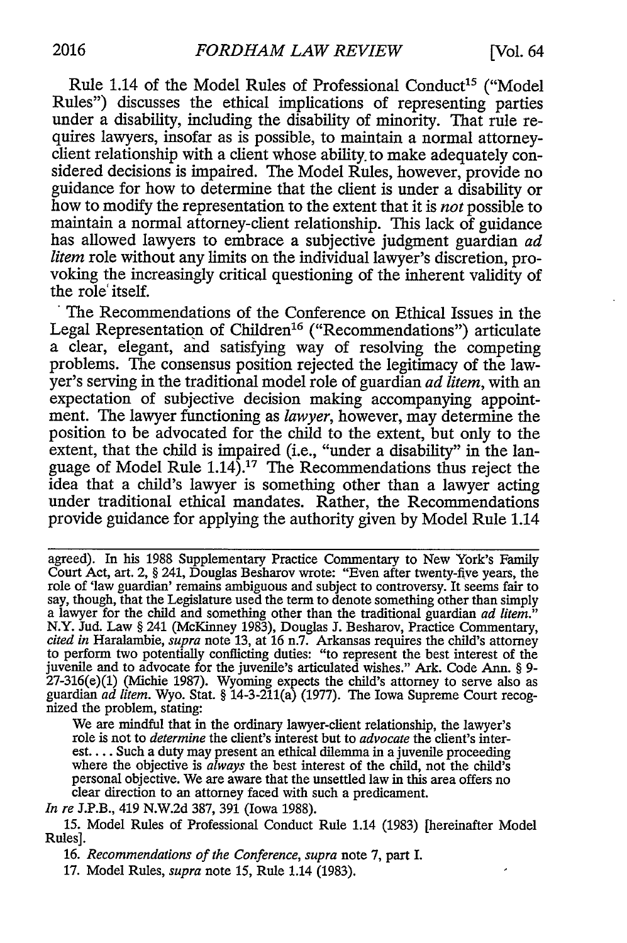Rule 1.14 of the Model Rules of Professional Conduct<sup>15</sup> ("Model Rules") discusses the ethical implications of representing parties under a disability, including the disability of minority. That rule requires lawyers, insofar as is possible, to maintain a normal attorneyclient relationship with a client whose ability, to make adequately considered decisions is impaired. The Model Rules, however, provide no guidance for how to determine that the client is under a disability or how to modify the representation to the extent that it is *not* possible to maintain a normal attorney-client relationship. This lack of guidance has allowed lawyers to embrace a subjective judgment guardian *ad litem* role without any limits on the individual lawyer's discretion, provoking the increasingly critical questioning of the inherent validity of the role' itself.

The Recommendations of the Conference on Ethical Issues in the Legal Representation of Children<sup>16</sup> ("Recommendations") articulate a clear, elegant, and satisfying way of resolving the competing problems. The consensus position rejected the legitimacy of the lawyer's serving in the traditional model role of guardian *ad litem,* with an expectation of subjective decision making accompanying appointment. The lawyer functioning as *lawyer,* however, may determine the position to be advocated for the child to the extent, but only to the extent, that the child is impaired (i.e., "under a disability" in the language of Model Rule  $1.14$ ).<sup>17</sup> The Recommendations thus reject the idea that a child's lawyer is something other than a lawyer acting under traditional ethical mandates. Rather, the Recommendations provide guidance for applying the authority given by Model Rule 1.14

agreed). In his 1988 Supplementary Practice Commentary to New York's Family Court Act, art. 2, § 241, Douglas Besharov wrote: "Even after twenty-five years, the role of 'law guardian' remains ambiguous and subject to controversy. It seems fair to say, though, that the Legislature used the term to denote something other than simply a lawyer for the child and something other than the traditional guardian *ad litem."* N.Y. Jud. Law § 241 (McKinney 1983), Douglas J. Besharov, Practice Commentary, *cited in* Haralambie, *supra* note 13, at 16 n.7. Arkansas requires the child's attorney to perform two potentially conflicting duties: "to represent the best interest of the juvenile and to advocate for the juvenile's articulated wishes." Ark. Code Ann. § 9- 27-316(e)(1) (Michie 1987). Wyoming expects the child's attorney to serve also as guardian *ad litem.* Wyo. Stat. § 14-3-211(a) (1977). The Iowa Supreme Court recog-<br>nized the problem, stating:

We are mindful that in the ordinary lawyer-client relationship, the lawyer's role is not to *determine* the client's interest but to *advocate* the client's interest.... Such a duty may present an ethical dilemma in a juvenile proceeding where the objective is *always* the best interest of the child, not the child's personal objective. We are aware that the unsettled law in this area offers no clear direction to an attorney faced with such a predicament.

*In re* J.P.B., 419 N.W.2d 387, 391 (Iowa 1988).

15. Model Rules of Professional Conduct Rule 1.14 (1983) [hereinafter Model Rules].

16. *Recommendations of the Conference, supra* note 7, part I.

17. Model Rules, *supra* note 15, Rule 1.14 (1983).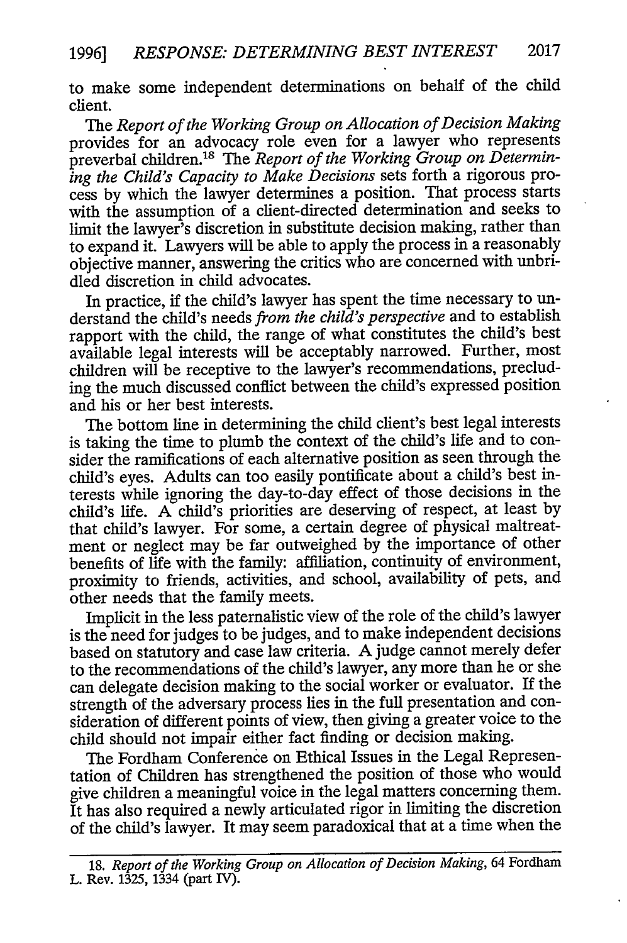to make some independent determinations on behalf of the child client.

The *Report of the Working Group on Allocation of Decision Making* provides for an advocacy role even for a lawyer who represents preverbal children.<sup>18</sup> The *Report of the Working Group on Determining the Child's Capacity to Make Decisions* sets forth a rigorous process by which the lawyer determines a position. That process starts with the assumption of a client-directed determination and seeks to limit the lawyer's discretion in substitute decision making, rather than to expand it. Lawyers will be able to apply the process in a reasonably objective manner, answering the critics who are concerned with unbridled discretion in child advocates.

In practice, if the child's lawyer has spent the time necessary to understand the child's needs *from the child's perspective* and to establish rapport with the child, the range of what constitutes the child's best available legal interests will be acceptably narrowed. Further, most children will be receptive to the lawyer's recommendations, precluding the much discussed conflict between the child's expressed position and his or her best interests.

The bottom line in determining the child client's best legal interests is taking the time to plumb the context of the child's life and to consider the ramifications of each alternative position as seen through the child's eyes. Adults can too easily pontificate about a child's best interests while ignoring the day-to-day effect of those decisions in the child's life. A child's priorities are deserving of respect, at least by that child's lawyer. For some, a certain degree of physical maltreatment or neglect may be far outweighed by the importance of other benefits of life with the family: affiliation, continuity of environment, proximity to friends, activities, and school, availability of pets, and other needs that the family meets.

Implicit in the less paternalistic view of the role of the child's lawyer is the need for judges to be judges, and to make independent decisions based on statutory and case law criteria. A judge cannot merely defer to the recommendations of the child's lawyer, any more than he or she can delegate decision making to the social worker or evaluator. If the strength of the adversary process lies in the full presentation and consideration of different points of view, then giving a greater voice to the child should not impair either fact finding or decision making.

The Fordham Conference on Ethical Issues in the Legal Representation of Children has strengthened the position of those who would give children a meaningful voice in the legal matters concerning them. It has also required a newly articulated rigor in limiting the discretion of the child's lawyer. It may seem paradoxical that at a time when the

<sup>18.</sup> *Report of the Working Group on Allocation of Decision Making*, 64 Fordham L. Rev. 1325, 1334 (part IV).